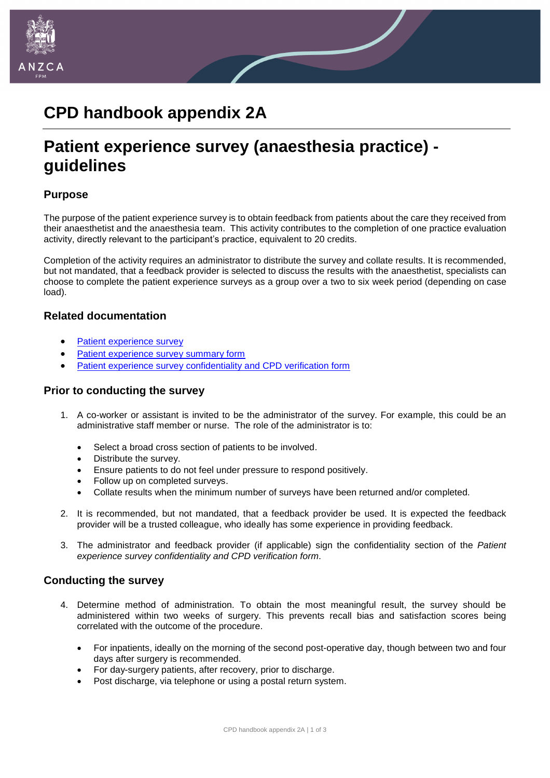

## **CPD handbook appendix 2A**

# **Patient experience survey (anaesthesia practice) guidelines**

### **Purpose**

The purpose of the patient experience survey is to obtain feedback from patients about the care they received from their anaesthetist and the anaesthesia team. This activity contributes to the completion of one practice evaluation activity, directly relevant to the participant's practice, equivalent to 20 credits.

Completion of the activity requires an administrator to distribute the survey and collate results. It is recommended, but not mandated, that a feedback provider is selected to discuss the results with the anaesthetist, specialists can choose to complete the patient experience surveys as a group over a two to six week period (depending on case load).

#### **Related documentation**

- [Patient experience survey](http://www.anzca.edu.au/documents/appendix_1a_patient_experience_survey)
- [Patient experience survey summary form](http://www.anzca.edu.au/documents/appendix-1-1a-patient_experience_survey_summary_sh.pdf)
- [Patient experience survey confidentiality and CPD verification form](http://www.anzca.edu.au/documents/appendix_3_patient_experience_survey_confidentiali.pdf)

#### **Prior to conducting the survey**

- 1. A co-worker or assistant is invited to be the administrator of the survey. For example, this could be an administrative staff member or nurse. The role of the administrator is to:
	- Select a broad cross section of patients to be involved.
	- Distribute the survey.
	- Ensure patients to do not feel under pressure to respond positively.
	- Follow up on completed surveys.
	- Collate results when the minimum number of surveys have been returned and/or completed.
- 2. It is recommended, but not mandated, that a feedback provider be used. It is expected the feedback provider will be a trusted colleague, who ideally has some experience in providing feedback.
- 3. The administrator and feedback provider (if applicable) sign the confidentiality section of the *Patient experience survey confidentiality and CPD verification form*.

#### **Conducting the survey**

- 4. Determine method of administration. To obtain the most meaningful result, the survey should be administered within two weeks of surgery. This prevents recall bias and satisfaction scores being correlated with the outcome of the procedure.
	- For inpatients, ideally on the morning of the second post-operative day, though between two and four days after surgery is recommended.
	- For day-surgery patients, after recovery, prior to discharge.
	- Post discharge, via telephone or using a postal return system.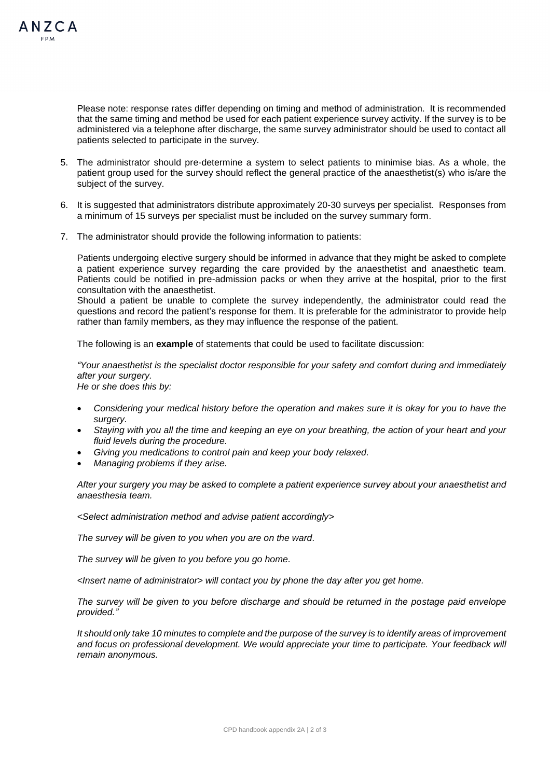

Please note: response rates differ depending on timing and method of administration. It is recommended that the same timing and method be used for each patient experience survey activity. If the survey is to be administered via a telephone after discharge, the same survey administrator should be used to contact all patients selected to participate in the survey.

- 5. The administrator should pre-determine a system to select patients to minimise bias. As a whole, the patient group used for the survey should reflect the general practice of the anaesthetist(s) who is/are the subject of the survey.
- 6. It is suggested that administrators distribute approximately 20-30 surveys per specialist. Responses from a minimum of 15 surveys per specialist must be included on the survey summary form.
- 7. The administrator should provide the following information to patients:

Patients undergoing elective surgery should be informed in advance that they might be asked to complete a patient experience survey regarding the care provided by the anaesthetist and anaesthetic team. Patients could be notified in pre-admission packs or when they arrive at the hospital, prior to the first consultation with the anaesthetist.

Should a patient be unable to complete the survey independently, the administrator could read the questions and record the patient's response for them. It is preferable for the administrator to provide help rather than family members, as they may influence the response of the patient.

The following is an **example** of statements that could be used to facilitate discussion:

*"Your anaesthetist is the specialist doctor responsible for your safety and comfort during and immediately after your surgery.*

*He or she does this by:*

- *Considering your medical history before the operation and makes sure it is okay for you to have the surgery.*
- *Staying with you all the time and keeping an eye on your breathing, the action of your heart and your fluid levels during the procedure.*
- *Giving you medications to control pain and keep your body relaxed.*
- *Managing problems if they arise.*

*After your surgery you may be asked to complete a patient experience survey about your anaesthetist and anaesthesia team.* 

*<Select administration method and advise patient accordingly>*

*The survey will be given to you when you are on the ward.*

*The survey will be given to you before you go home.*

*<Insert name of administrator> will contact you by phone the day after you get home.*

*The survey will be given to you before discharge and should be returned in the postage paid envelope provided."*

*It should only take 10 minutes to complete and the purpose of the survey is to identify areas of improvement and focus on professional development. We would appreciate your time to participate. Your feedback will remain anonymous.*